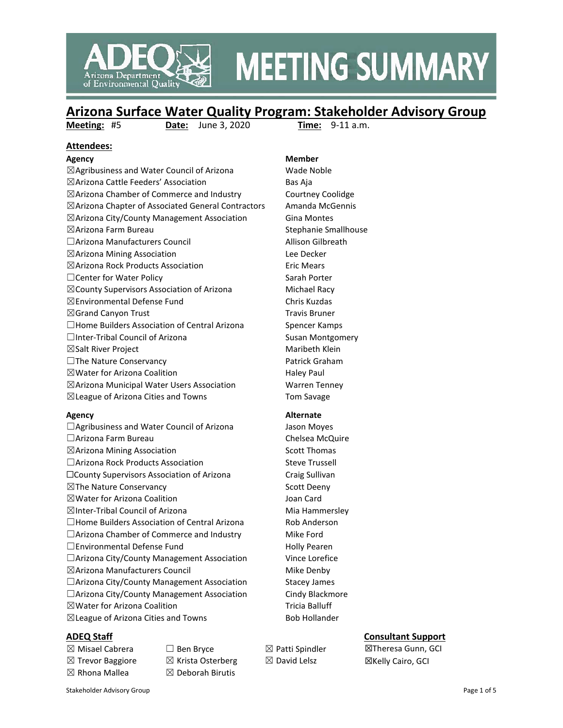

# **MEETING SUMMARY**

## **Arizona Surface Water Quality Program: Stakeholder Advisory Group**

**Meeting:** #5 **Date:** June 3, 2020 **Time:** 9-11 a.m.

#### **Attendees:**

☒Agribusiness and Water Council of Arizona Wade Noble ☒Arizona Cattle Feeders' Association Bas Aja ☒Arizona Chamber of Commerce and Industry Courtney Coolidge ☒Arizona Chapter of Associated General Contractors Amanda McGennis  $\boxtimes$ Arizona City/County Management Association Gina Montes ☒Arizona Farm Bureau Stephanie Smallhouse ☐Arizona Manufacturers Council Allison Gilbreath ☒Arizona Mining Association Lee Decker ☒Arizona Rock Products Association Eric Mears □Center for Water Policy Sarah Porter  $\boxtimes$ County Supervisors Association of Arizona Michael Racy ☒Environmental Defense Fund Chris Kuzdas  $\boxtimes$ Grand Canyon Trust Travis Bruner □Home Builders Association of Central Arizona Spencer Kamps □Inter-Tribal Council of Arizona Susan Montgomery  $\boxtimes$ Salt River Project Maribeth Klein □The Nature Conservancy Patrick Graham  $\boxtimes$  Water for Arizona Coalition  $\Box$  Haley Paul  $\boxtimes$ Arizona Municipal Water Users Association Warren Tenney ☒League of Arizona Cities and Towns Tom Savage

□Agribusiness and Water Council of Arizona Jason Moyes ☐Arizona Farm Bureau Chelsea McQuire  $\boxtimes$ Arizona Mining Association Scott Thomas □Arizona Rock Products Association Steve Trussell ☐County Supervisors Association of Arizona Craig Sullivan ⊠The Nature Conservancy Scott Deeny ☒Water for Arizona Coalition Joan Card  $\boxtimes$ Inter-Tribal Council of Arizona Mia Hammersley □Home Builders Association of Central Arizona Rob Anderson  $\Box$ Arizona Chamber of Commerce and Industry Mike Ford □Environmental Defense Fund Holly Pearen □Arizona City/County Management Association Vince Lorefice  $\boxtimes$ Arizona Manufacturers Council  $\boxtimes$  Arizona Mike Denby □Arizona City/County Management Association Stacey James □Arizona City/County Management Association Cindy Blackmore ⊠Water for Arizona Coalition Tricia Balluff  $\boxtimes$ League of Arizona Cities and Towns Bob Hollander

 $\boxtimes$  Misael Cabrera  $\Box$  Ben Bryce  $\boxtimes$  Patti Spindler

 $\boxtimes$  Trevor Baggiore  $\boxtimes$  Krista Osterberg  $\boxtimes$  David Lelsz  $\boxtimes$  Rhona Mallea  $\boxtimes$  Deborah Birutis

**Agency Member**

#### **Agency Alternate**

- 
- 

## **ADEQ Staff Consultant Support**

☒Theresa Gunn, GCI ☒Kelly Cairo, GCI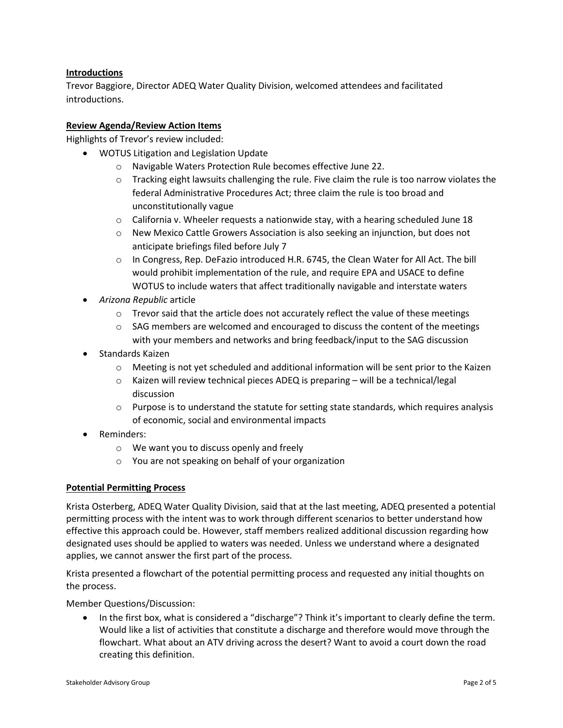## **Introductions**

Trevor Baggiore, Director ADEQ Water Quality Division, welcomed attendees and facilitated introductions.

#### **Review Agenda/Review Action Items**

Highlights of Trevor's review included:

- WOTUS Litigation and Legislation Update
	- o Navigable Waters Protection Rule becomes effective June 22.
	- $\circ$  Tracking eight lawsuits challenging the rule. Five claim the rule is too narrow violates the federal Administrative Procedures Act; three claim the rule is too broad and unconstitutionally vague
	- $\circ$  California v. Wheeler requests a nationwide stay, with a hearing scheduled June 18
	- $\circ$  New Mexico Cattle Growers Association is also seeking an injunction, but does not anticipate briefings filed before July 7
	- $\circ$  In Congress, Rep. DeFazio introduced H.R. 6745, the Clean Water for All Act. The bill would prohibit implementation of the rule, and require EPA and USACE to define WOTUS to include waters that affect traditionally navigable and interstate waters
- *Arizona Republic* article
	- $\circ$  Trevor said that the article does not accurately reflect the value of these meetings
	- $\circ$  SAG members are welcomed and encouraged to discuss the content of the meetings with your members and networks and bring feedback/input to the SAG discussion
- Standards Kaizen
	- o Meeting is not yet scheduled and additional information will be sent prior to the Kaizen
	- $\circ$  Kaizen will review technical pieces ADEQ is preparing will be a technical/legal discussion
	- $\circ$  Purpose is to understand the statute for setting state standards, which requires analysis of economic, social and environmental impacts
- Reminders:
	- o We want you to discuss openly and freely
	- o You are not speaking on behalf of your organization

#### **Potential Permitting Process**

Krista Osterberg, ADEQ Water Quality Division, said that at the last meeting, ADEQ presented a potential permitting process with the intent was to work through different scenarios to better understand how effective this approach could be. However, staff members realized additional discussion regarding how designated uses should be applied to waters was needed. Unless we understand where a designated applies, we cannot answer the first part of the process.

Krista presented a flowchart of the potential permitting process and requested any initial thoughts on the process.

Member Questions/Discussion:

• In the first box, what is considered a "discharge"? Think it's important to clearly define the term. Would like a list of activities that constitute a discharge and therefore would move through the flowchart. What about an ATV driving across the desert? Want to avoid a court down the road creating this definition.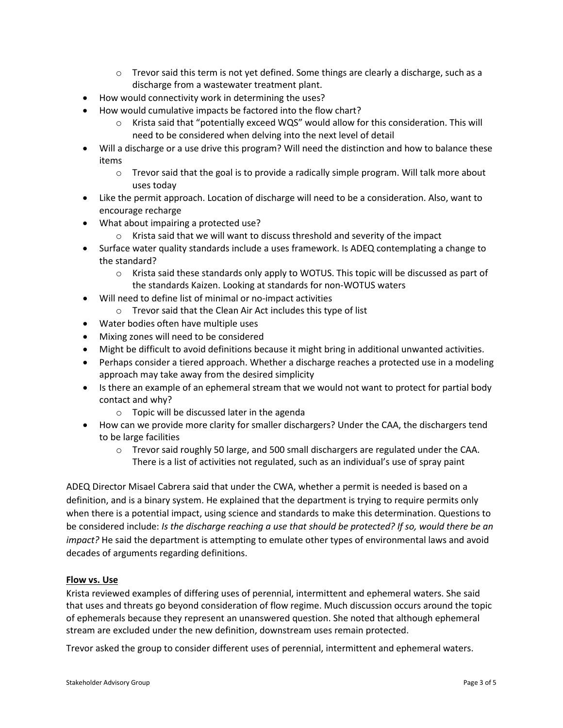- $\circ$  Trevor said this term is not yet defined. Some things are clearly a discharge, such as a discharge from a wastewater treatment plant.
- How would connectivity work in determining the uses?
- How would cumulative impacts be factored into the flow chart?
	- $\circ$  Krista said that "potentially exceed WQS" would allow for this consideration. This will need to be considered when delving into the next level of detail
- Will a discharge or a use drive this program? Will need the distinction and how to balance these items
	- $\circ$  Trevor said that the goal is to provide a radically simple program. Will talk more about uses today
- Like the permit approach. Location of discharge will need to be a consideration. Also, want to encourage recharge
- What about impairing a protected use?
	- $\circ$  Krista said that we will want to discuss threshold and severity of the impact
- Surface water quality standards include a uses framework. Is ADEQ contemplating a change to the standard?
	- $\circ$  Krista said these standards only apply to WOTUS. This topic will be discussed as part of the standards Kaizen. Looking at standards for non-WOTUS waters
- Will need to define list of minimal or no-impact activities
	- o Trevor said that the Clean Air Act includes this type of list
- Water bodies often have multiple uses
- Mixing zones will need to be considered
- Might be difficult to avoid definitions because it might bring in additional unwanted activities.
- Perhaps consider a tiered approach. Whether a discharge reaches a protected use in a modeling approach may take away from the desired simplicity
- Is there an example of an ephemeral stream that we would not want to protect for partial body contact and why?
	- o Topic will be discussed later in the agenda
- How can we provide more clarity for smaller dischargers? Under the CAA, the dischargers tend to be large facilities
	- $\circ$  Trevor said roughly 50 large, and 500 small dischargers are regulated under the CAA. There is a list of activities not regulated, such as an individual's use of spray paint

ADEQ Director Misael Cabrera said that under the CWA, whether a permit is needed is based on a definition, and is a binary system. He explained that the department is trying to require permits only when there is a potential impact, using science and standards to make this determination. Questions to be considered include: *Is the discharge reaching a use that should be protected? If so, would there be an impact?* He said the department is attempting to emulate other types of environmental laws and avoid decades of arguments regarding definitions.

## **Flow vs. Use**

Krista reviewed examples of differing uses of perennial, intermittent and ephemeral waters. She said that uses and threats go beyond consideration of flow regime. Much discussion occurs around the topic of ephemerals because they represent an unanswered question. She noted that although ephemeral stream are excluded under the new definition, downstream uses remain protected.

Trevor asked the group to consider different uses of perennial, intermittent and ephemeral waters.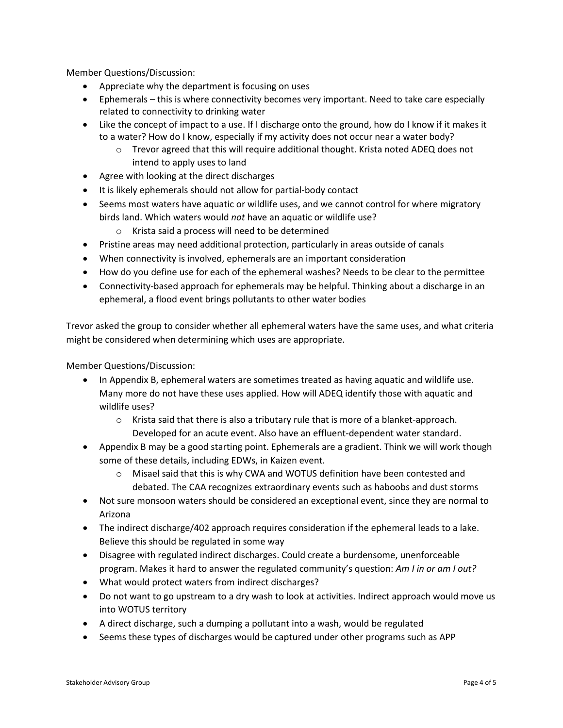Member Questions/Discussion:

- Appreciate why the department is focusing on uses
- Ephemerals this is where connectivity becomes very important. Need to take care especially related to connectivity to drinking water
- Like the concept of impact to a use. If I discharge onto the ground, how do I know if it makes it to a water? How do I know, especially if my activity does not occur near a water body?
	- o Trevor agreed that this will require additional thought. Krista noted ADEQ does not intend to apply uses to land
- Agree with looking at the direct discharges
- It is likely ephemerals should not allow for partial-body contact
- Seems most waters have aquatic or wildlife uses, and we cannot control for where migratory birds land. Which waters would *not* have an aquatic or wildlife use?
	- o Krista said a process will need to be determined
- Pristine areas may need additional protection, particularly in areas outside of canals
- When connectivity is involved, ephemerals are an important consideration
- How do you define use for each of the ephemeral washes? Needs to be clear to the permittee
- Connectivity-based approach for ephemerals may be helpful. Thinking about a discharge in an ephemeral, a flood event brings pollutants to other water bodies

Trevor asked the group to consider whether all ephemeral waters have the same uses, and what criteria might be considered when determining which uses are appropriate.

Member Questions/Discussion:

- In Appendix B, ephemeral waters are sometimes treated as having aquatic and wildlife use. Many more do not have these uses applied. How will ADEQ identify those with aquatic and wildlife uses?
	- o Krista said that there is also a tributary rule that is more of a blanket-approach. Developed for an acute event. Also have an effluent-dependent water standard.
- Appendix B may be a good starting point. Ephemerals are a gradient. Think we will work though some of these details, including EDWs, in Kaizen event.
	- $\circ$  Misael said that this is why CWA and WOTUS definition have been contested and debated. The CAA recognizes extraordinary events such as haboobs and dust storms
- Not sure monsoon waters should be considered an exceptional event, since they are normal to Arizona
- The indirect discharge/402 approach requires consideration if the ephemeral leads to a lake. Believe this should be regulated in some way
- Disagree with regulated indirect discharges. Could create a burdensome, unenforceable program. Makes it hard to answer the regulated community's question: *Am I in or am I out?*
- What would protect waters from indirect discharges?
- Do not want to go upstream to a dry wash to look at activities. Indirect approach would move us into WOTUS territory
- A direct discharge, such a dumping a pollutant into a wash, would be regulated
- Seems these types of discharges would be captured under other programs such as APP